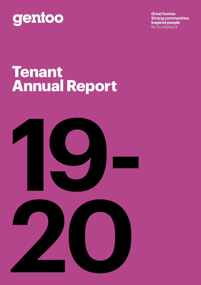### gentoo

**Great homes Strong communities Inspired people** for Sunderland

### **Tenant Annual Report**



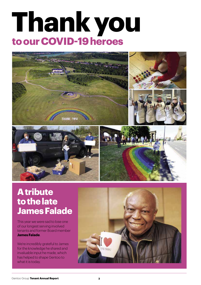### **Thank you to our COVID-19 heroes**



### **A tribute to the late James Falade**

This year we were sad to lose one of our longest serving involved tenants and former Board member **James Falade**.

We're incredibly grateful to James for the knowledge he shared and invaluable input he made, which has helped to shape Gentoo to what it is today.

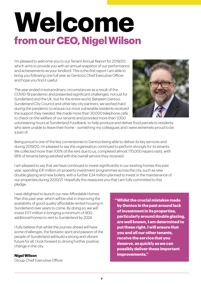### **Welcome from our CEO, Nigel Wilson**

I'm pleased to welcome you to our Tenant Annual Report for 2019/20, which aims to provide you with an annual snapshot of our performance and achievements as your landlord. This is the first report I am able to bring you following one full year as Gentoo's Chief Executive Officer and hope you find it useful.

The year ended in extraordinary circumstances as a result of the COVID-19 pandemic and presented significant challenges, not just for Sunderland and the UK, but for the entire world. Between Gentoo, Sunderland City Council and other key city partners, we worked hard during the pandemic to ensure our most vulnerable residents received the support they needed. We made more than 30,000 telephone calls to check on the welfare of our tenants and provided more than 1,000



volunteering hours at Sunderland Foodbank, to help produce and deliver food parcels to residents who were unable to leave their home – something my colleagues and I were extremely proud to be a part of.

Being proud is one of the key cornerstones to Gentoo being able to deliver its key services and during 2019/20, I'm pleased to say the organisation continued to perform strongly for its tenants. We collected more than 100% of the rent due to us, completed almost 170,000 repairs visits, with 95% of tenants being satisfied with the overall service they received.

I am pleased to say that we have continued to invest significantly in our existing homes this past year, spending £41 million on property investment programmes across the city, such as new double glazing and new boilers, with a further £34 million planned to invest in the maintenance of our properties during 2020/21. Hopefully this reassures you that I am fully committed to this pledge.

I was delighted to launch our new Affordable Homes Plan this past year, which will be vital in improving the availability of good quality affordable rented housing in Sunderland over years to come. By doing so, we will invest £117 million in bringing a minimum of 900 additional homes to rent to Sunderland by 2024.

I fully believe that whilst the journey ahead will have some challenges, the fantastic spirit and passion of the people of Sunderland will build a strong and vibrant future for all. I look forward to driving further positive change in the city.

#### **Nigel Wilson**

Group Chief Executive Officer

**"Whilst the crucial mistakes made by Gentoo in the past around lack of investment in its properties, particularly around double glazing, are well known, I am determined to put these right. I will ensure that you and all our other tenants, receive the service that you deserve, as quickly as we can possibly deliver these important improvements."**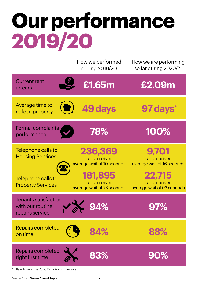# **Our performance 2019/20**

|                                                                     | How we performed<br>during 2019/20                             | How we are performing<br>so far during 2020/21         |
|---------------------------------------------------------------------|----------------------------------------------------------------|--------------------------------------------------------|
| <b>Current rent</b><br>arrears                                      | £1.65m                                                         | £2.09m                                                 |
| Average time to<br>$\left(\blacksquare\right)$<br>re-let a property | 49 days                                                        | 97 days*                                               |
| Formal complaints<br>performance                                    | 78%                                                            | 100%                                                   |
| Telephone calls to<br><b>Housing Services</b>                       | 236,369<br>calls received<br>average wait of 10 seconds        | 9.701<br>calls received<br>average wait of 16 seconds  |
| Telephone calls to<br><b>Property Services</b>                      | <b>181,895</b><br>calls received<br>average wait of 78 seconds | 22,715<br>calls received<br>average wait of 93 seconds |
| <b>Tenants satisfaction</b><br>with our routine<br>repairs service  |                                                                |                                                        |
| <b>Repairs completed</b><br>on time                                 | 84%                                                            | 88%                                                    |
| Repairs completed<br>right first time                               | 83%                                                            | 90%                                                    |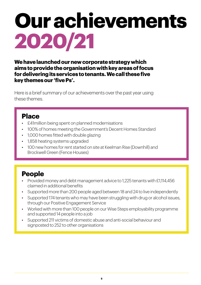# **Our achievements 2020/21**

**We have launched our new corporate strategy which aims to provide the organisation with key areas of focus for delivering its services to tenants. We call these five key themes our 'five Ps'.** 

Here is a brief summary of our achievements over the past year using these themes.

#### **Place**

- £41million being spent on planned modernisations
- 100% of homes meeting the Government's Decent Homes Standard
- 1,000 homes fitted with double glazing
- 1,858 heating systems upgraded
- 100 new homes for rent started on site at Keelman Rise (Downhill) and Brockwell Green (Fence Houses)

### **People**

- Provided money and debt management advice to 1,225 tenants with £1,114,456 claimed in additional benefits
- Supported more than 200 people aged between 18 and 24 to live independently
- Supported 174 tenants who may have been struggling with drug or alcohol issues, through our Positive Engagement Service
- Worked with more than 100 people on our Wise Steps employability programme and supported 14 people into a job
- Supported 211 victims of domestic abuse and anti-social behaviour and signposted to 252 to other organisations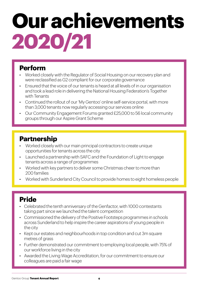## **Our achievements 2020/21**

#### **Perform**

- Worked closely with the Regulator of Social Housing on our recovery plan and were reclassified as G2 compliant for our corporate governance
- Ensured that the voice of our tenants is heard at all levels of in our organisation and took a lead role in delivering the National Housing Federation's Together with Tenants
- Continued the rollout of our 'My Gentoo' online self-service portal, with more than 3,000 tenants now regularly accessing our services online
- Our Community Engagement Forums granted £25,000 to 56 local community groups through our Aspire Grant Scheme

#### **Partnership**

- Worked closely with our main principal contractors to create unique opportunities for tenants across the city
- Launched a partnership with SAFC and the Foundation of Light to engage tenants across a range of programmes
- Worked with key partners to deliver some Christmas cheer to more than 200 families
- Worked with Sunderland City Council to provide homes to eight homeless people

#### **Pride**

- Celebrated the tenth anniversary of the Genfactor, with 1000 contestants taking part since we launched the talent competition
- Commissioned the delivery of the Positive Footsteps programmes in schools across Sunderland to help inspire the career aspirations of young people in the city
- Kept our estates and neighbourhoods in top condition and cut 3m square metres of grass
- Further demonstrated our commitment to employing local people, with 75% of our workforce living in the city
- Awarded the Living Wage Accreditation, for our commitment to ensure our colleagues are paid a fair wage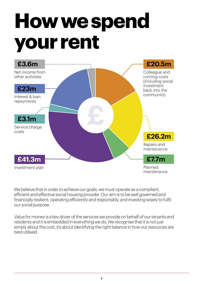# **How we spend your rent**



We believe that in order to achieve our goals, we must operate as a compliant, efficient and effective social housing provider. Our aim is to be well governed and financially resilient, operating efficiently and responsibly, and investing wisely to fulfil our social purpose.

Value for money is a key driver of the services we provide on behalf of our tenants and residents and it is embedded in everything we do. We recognise that it is not just simply about the cost, it's about identifying the right balance in how our resources are best utilised.